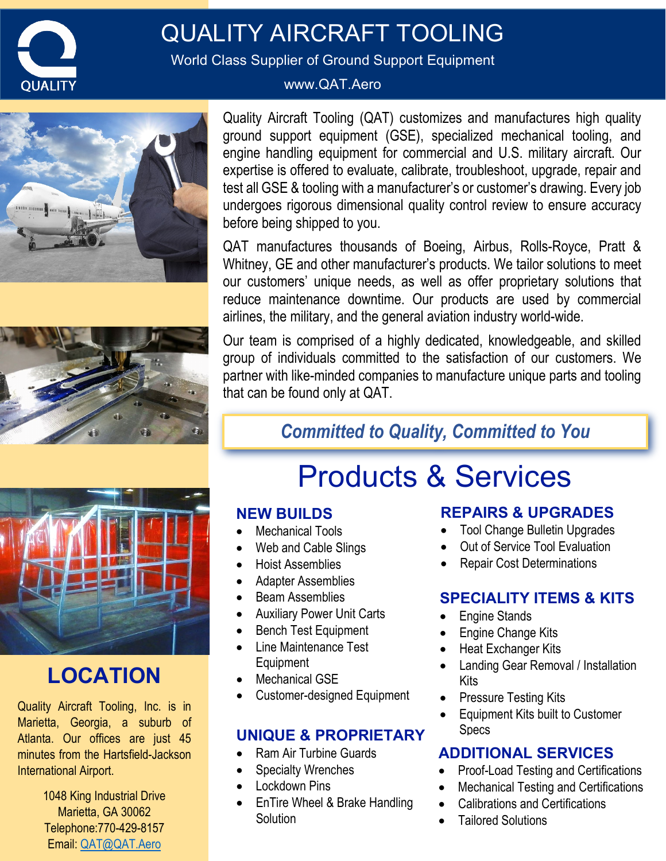

## QUALITY AIRCRAFT TOOLING

World Class Supplier of Ground Support Equipment

#### www.QAT.Aero





Quality Aircraft Tooling (QAT) customizes and manufactures high quality ground support equipment (GSE), specialized mechanical tooling, and engine handling equipment for commercial and U.S. military aircraft. Our expertise is offered to evaluate, calibrate, troubleshoot, upgrade, repair and test all GSE & tooling with a manufacturer's or customer's drawing. Every job undergoes rigorous dimensional quality control review to ensure accuracy before being shipped to you.

QAT manufactures thousands of Boeing, Airbus, Rolls-Royce, Pratt & Whitney, GE and other manufacturer's products. We tailor solutions to meet our customers' unique needs, as well as offer proprietary solutions that reduce maintenance downtime. Our products are used by commercial airlines, the military, and the general aviation industry world-wide.

Our team is comprised of a highly dedicated, knowledgeable, and skilled group of individuals committed to the satisfaction of our customers. We partner with like-minded companies to manufacture unique parts and tooling that can be found only at QAT.

## *Committed to Quality, Committed to You*



## **LOCATION**

Quality Aircraft Tooling, Inc. is in Marietta, Georgia, a suburb of Atlanta. Our offices are just 45 minutes from the Hartsfield-Jackson International Airport.

> 1048 King Industrial Drive Marietta, GA 30062 Telephone:770-429-8157 Email: [QAT@QAT.Aero](mailto:QAT@QAT.Aero)

# Products & Services

#### **NEW BUILDS**

- Mechanical Tools
- Web and Cable Slings
- Hoist Assemblies
- Adapter Assemblies
- Beam Assemblies
- Auxiliary Power Unit Carts
- **Bench Test Equipment**
- Line Maintenance Test Equipment
- **Mechanical GSE**
- Customer-designed Equipment

#### **UNIQUE & PROPRIETARY**

- Ram Air Turbine Guards
- **Specialty Wrenches**
- Lockdown Pins
- EnTire Wheel & Brake Handling **Solution**

#### **REPAIRS & UPGRADES**

- Tool Change Bulletin Upgrades
- Out of Service Tool Evaluation
- Repair Cost Determinations

#### **SPECIALITY ITEMS & KITS**

- Engine Stands
- Engine Change Kits
- **Heat Exchanger Kits**
- Landing Gear Removal / Installation Kits
- Pressure Testing Kits
- Equipment Kits built to Customer Specs

#### **ADDITIONAL SERVICES**

- Proof-Load Testing and Certifications
- Mechanical Testing and Certifications
	- Calibrations and Certifications
	- Tailored Solutions